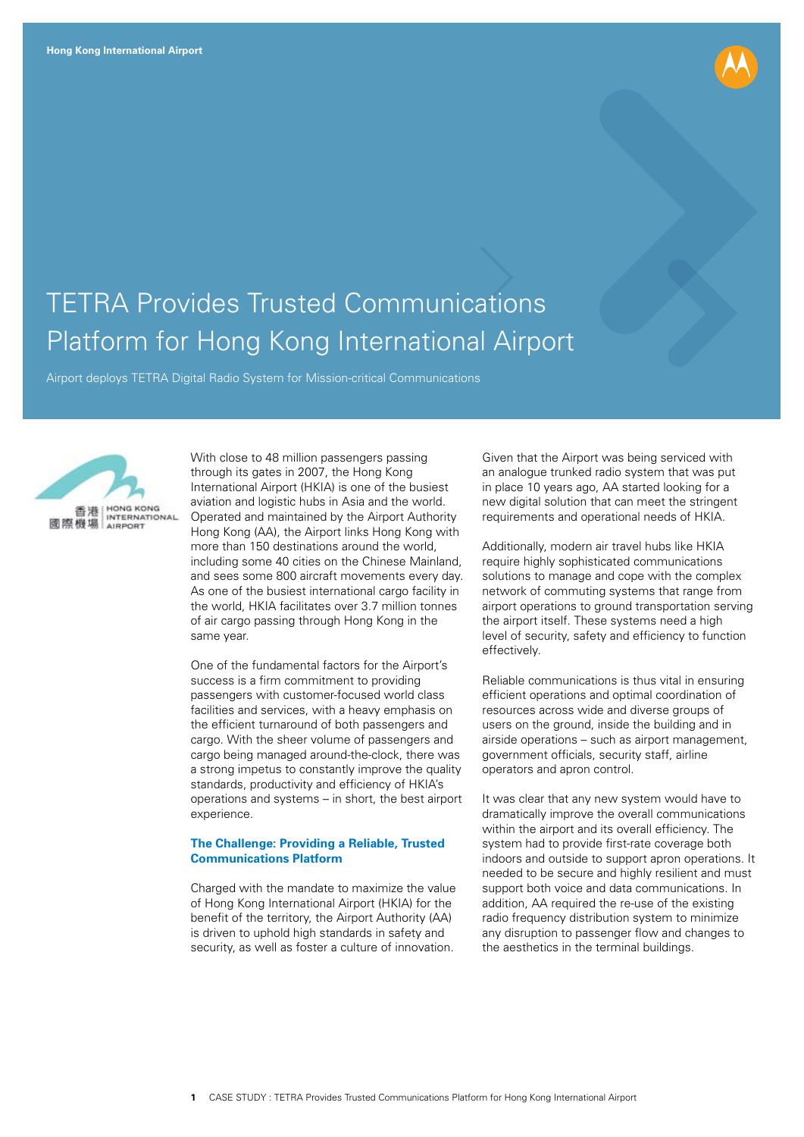

## TETRA Provides Trusted Communications Platform for Hong Kong International Airport<br>Airport deploys TETRA Digital Radio System for Mission-critical Communications



With close to 48 million passengers passing through its gates in 2007, the Hong Kong International Airport (HKIA) is one of the busiest aviation and logistic hubs in Asia and the world. Operated and maintained by the Airport Authority Hong Kong (AA), the Airport links Hong Kong with more than 150 destinations around the world, including some 40 cities on the Chinese Mainland, and sees some 800 aircraft movements every day. As one of the busiest international cargo facility in the world, HKIA facilitates over 3.7 million tonnes of air cargo passing through Hong Kong in the same year.

One of the fundamental factors for the Airport's success is a firm commitment to providing passengers with customer-focused world class facilities and services, with a heavy emphasis on the efficient turnaround of both passengers and cargo. With the sheer volume of passengers and cargo being managed around-the-clock, there was a strong impetus to constantly improve the quality standards, productivity and efficiency of HKIA's operations and systems – in short, the best airport experience.

## **The Challenge: Providing a Reliable, Trusted Communications Platform**

Charged with the mandate to maximize the value of Hong Kong International Airport (HKIA) for the benefit of the territory, the Airport Authority (AA) is driven to uphold high standards in safety and security, as well as foster a culture of innovation.

Given that the Airport was being serviced with an analogue trunked radio system that was put in place 10 years ago, AA started looking for a new digital solution that can meet the stringent requirements and operational needs of HKIA.

Additionally, modern air travel hubs like HKIA require highly sophisticated communications solutions to manage and cope with the complex network of commuting systems that range from airport operations to ground transportation serving the airport itself. These systems need a high level of security, safety and efficiency to function effectively.

Reliable communications is thus vital in ensuring efficient operations and optimal coordination of resources across wide and diverse groups of users on the ground, inside the building and in airside operations – such as airport management, government officials, security staff, airline operators and apron control.

It was clear that any new system would have to dramatically improve the overall communications within the airport and its overall efficiency. The system had to provide first-rate coverage both indoors and outside to support apron operations. It needed to be secure and highly resilient and must support both voice and data communications. In addition, AA required the re-use of the existing radio frequency distribution system to minimize any disruption to passenger flow and changes to the aesthetics in the terminal buildings.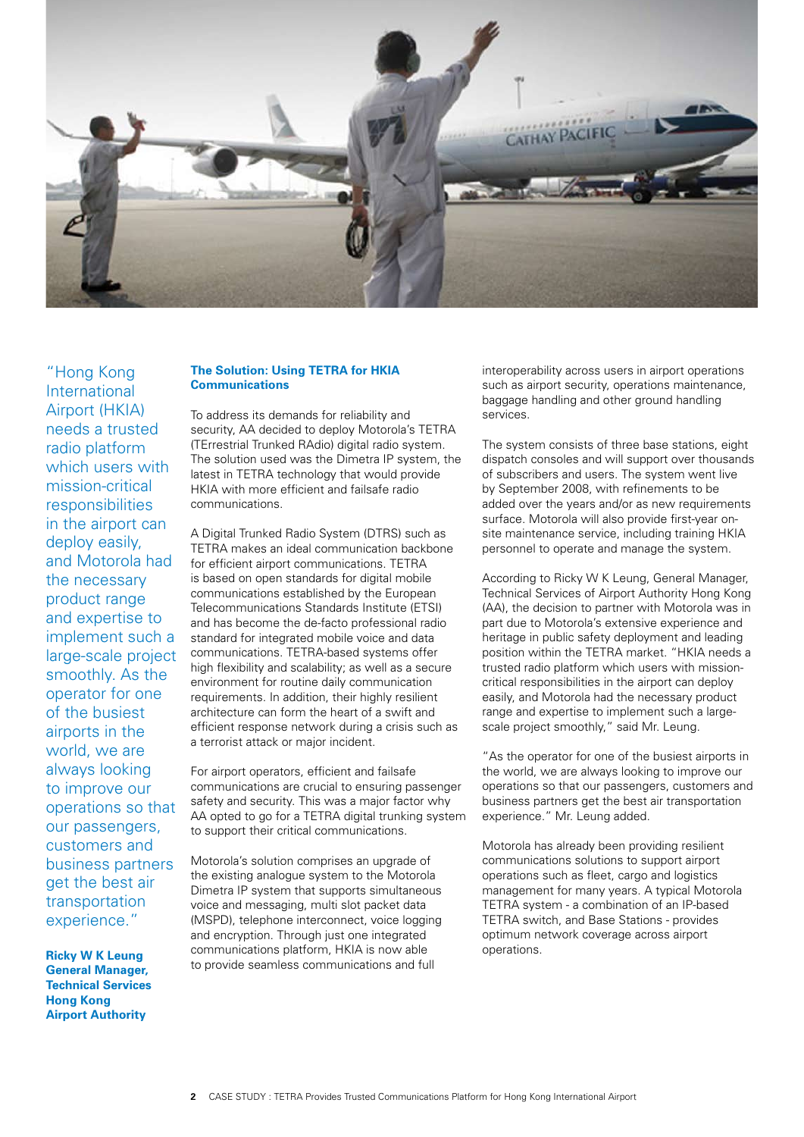

"Hong Kong International Airport (HKIA) needs a trusted radio platform which users with mission-critical responsibilities in the airport can deploy easily, and Motorola had the necessary product range and expertise to implement such a large-scale project smoothly. As the operator for one of the busiest airports in the world, we are always looking to improve our operations so that our passengers, customers and business partners get the best air transportation experience."

**Ricky W K Leung General Manager, Technical Services Hong Kong Airport Authority**

## **The Solution: Using TETRA for HKIA Communications**

To address its demands for reliability and security, AA decided to deploy Motorola's TETRA (TErrestrial Trunked RAdio) digital radio system. The solution used was the Dimetra IP system, the latest in TETRA technology that would provide HKIA with more efficient and failsafe radio communications.

A Digital Trunked Radio System (DTRS) such as TETRA makes an ideal communication backbone for efficient airport communications. TETRA is based on open standards for digital mobile communications established by the European Telecommunications Standards Institute (ETSI) and has become the de-facto professional radio standard for integrated mobile voice and data communications. TETRA-based systems offer high flexibility and scalability; as well as a secure environment for routine daily communication requirements. In addition, their highly resilient architecture can form the heart of a swift and efficient response network during a crisis such as a terrorist attack or major incident.

For airport operators, efficient and failsafe communications are crucial to ensuring passenger safety and security. This was a major factor why AA opted to go for a TETRA digital trunking system to support their critical communications.

Motorola's solution comprises an upgrade of the existing analogue system to the Motorola Dimetra IP system that supports simultaneous voice and messaging, multi slot packet data (MSPD), telephone interconnect, voice logging and encryption. Through just one integrated communications platform, HKIA is now able to provide seamless communications and full

interoperability across users in airport operations such as airport security, operations maintenance, baggage handling and other ground handling services.

The system consists of three base stations, eight dispatch consoles and will support over thousands of subscribers and users. The system went live by September 2008, with refinements to be added over the years and/or as new requirements surface. Motorola will also provide first-year onsite maintenance service, including training HKIA personnel to operate and manage the system.

According to Ricky W K Leung, General Manager, Technical Services of Airport Authority Hong Kong (AA), the decision to partner with Motorola was in part due to Motorola's extensive experience and heritage in public safety deployment and leading position within the TETRA market. "HKIA needs a trusted radio platform which users with missioncritical responsibilities in the airport can deploy easily, and Motorola had the necessary product range and expertise to implement such a largescale project smoothly," said Mr. Leung.

"As the operator for one of the busiest airports in the world, we are always looking to improve our operations so that our passengers, customers and business partners get the best air transportation experience." Mr. Leung added.

Motorola has already been providing resilient communications solutions to support airport operations such as fleet, cargo and logistics management for many years. A typical Motorola TETRA system - a combination of an IP-based TETRA switch, and Base Stations - provides optimum network coverage across airport operations.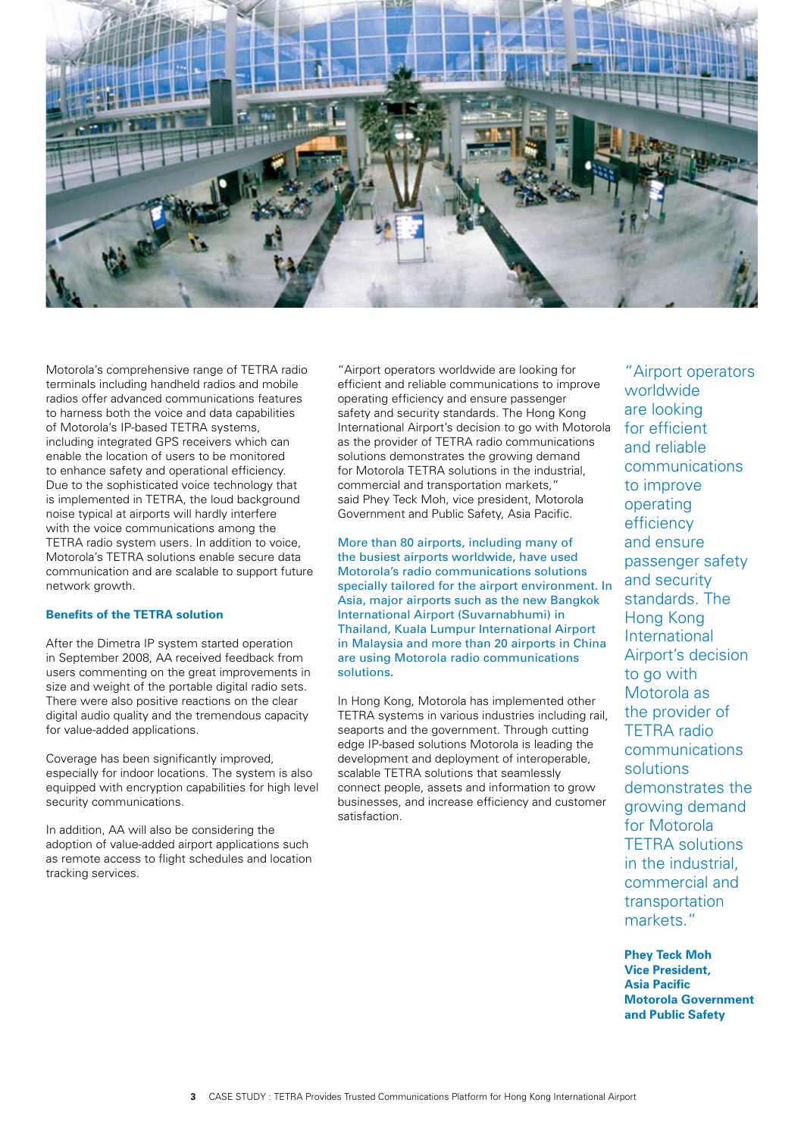

Motorola's comprehensive range of TETRA radio terminals including handheld radios and mobile radios offer advanced communications features to harness both the voice and data capabilities of Motorola's IP-based TETRA systems, including integrated GPS receivers which can enable the location of users to be monitored to enhance safety and operational efficiency. Due to the sophisticated voice technology that is implemented in TETRA, the loud background noise typical at airports will hardly interfere with the voice communications among the TETRA radio system users. In addition to voice, Motorola's TETRA solutions enable secure data communication and are scalable to support future network growth.

## **Benefits of the TETRA solution**

After the Dimetra IP system started operation in September 2008, AA received feedback from users commenting on the great improvements in size and weight of the portable digital radio sets. There were also positive reactions on the clear digital audio quality and the tremendous capacity for value-added applications.

Coverage has been significantly improved, especially for indoor locations. The system is also equipped with encryption capabilities for high level security communications.

In addition, AA will also be considering the adoption of value-added airport applications such as remote access to flight schedules and location tracking services.

"Airport operators worldwide are looking for efficient and reliable communications to improve operating efficiency and ensure passenger safety and security standards. The Hong Kong International Airport's decision to go with Motorola as the provider of TETRA radio communications solutions demonstrates the growing demand for Motorola TETRA solutions in the industrial, commercial and transportation markets," said Phey Teck Moh, vice president, Motorola Government and Public Safety, Asia Pacific.

More than 80 airports, including many of the busiest airports worldwide, have used Motorola's radio communications solutions specially tailored for the airport environment. In Asia, major airports such as the new Bangkok International Airport (Suvarnabhumi) in Thailand, Kuala Lumpur International Airport in Malaysia and more than 20 airports in China are using Motorola radio communications solutions.

In Hong Kong, Motorola has implemented other TETRA systems in various industries including rail, seaports and the government. Through cutting edge IP-based solutions Motorola is leading the development and deployment of interoperable, scalable TETRA solutions that seamlessly connect people, assets and information to grow businesses, and increase efficiency and customer satisfaction.

"Airport operators worldwide are looking for efficient and reliable communications to improve operating efficiency and ensure passenger safety and security standards. The Hong Kong International Airport's decision to go with Motorola as the provider of TETRA radio communications solutions demonstrates the growing demand for Motorola TETRA solutions in the industrial, commercial and transportation markets."

**Phey Teck Moh Vice President, Asia Pacific Motorola Government and Public Safety**